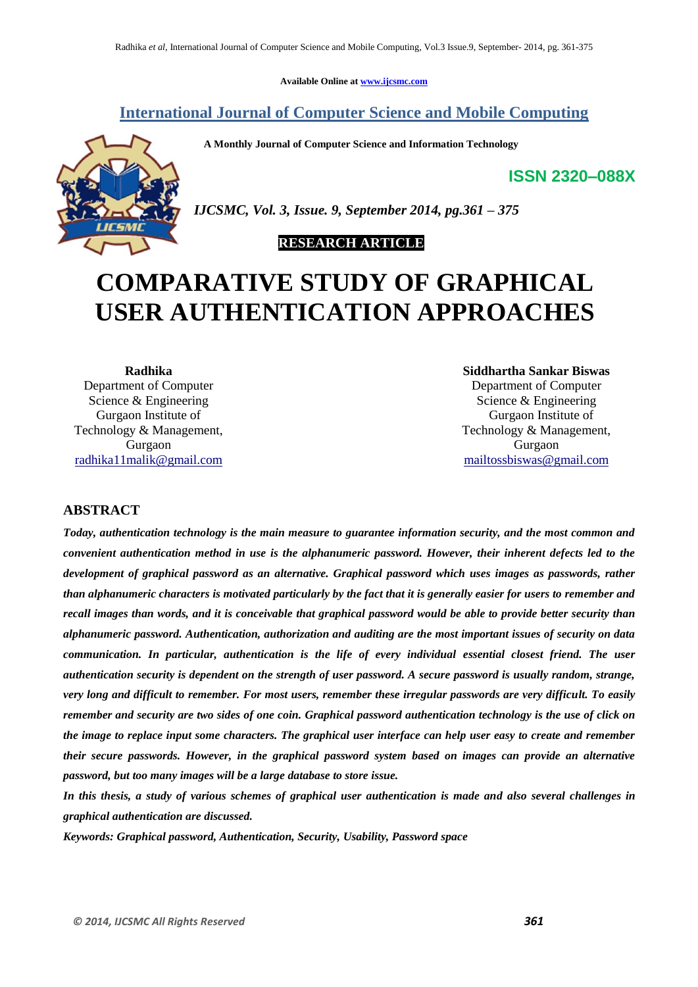**Available Online at www.ijcsmc.com**

# **International Journal of Computer Science and Mobile Computing**

 **A Monthly Journal of Computer Science and Information Technology**

**ISSN 2320–088X**



*IJCSMC, Vol. 3, Issue. 9, September 2014, pg.361 – 375*

# **RESEARCH ARTICLE**

# **COMPARATIVE STUDY OF GRAPHICAL USER AUTHENTICATION APPROACHES**

**Radhika** Department of Computer Science & Engineering Gurgaon Institute of Technology & Management, Gurgaon radhika11malik@gmail.com

**Siddhartha Sankar Biswas** Department of Computer Science & Engineering Gurgaon Institute of Technology & Management, Gurgaon mailtossbiswas@gmail.com

# **ABSTRACT**

*Today, authentication technology is the main measure to guarantee information security, and the most common and convenient authentication method in use is the alphanumeric password. However, their inherent defects led to the development of graphical password as an alternative. Graphical password which uses images as passwords, rather than alphanumeric characters is motivated particularly by the fact that it is generally easier for users to remember and recall images than words, and it is conceivable that graphical password would be able to provide better security than alphanumeric password. Authentication, authorization and auditing are the most important issues of security on data communication. In particular, authentication is the life of every individual essential closest friend. The user authentication security is dependent on the strength of user password. A secure password is usually random, strange, very long and difficult to remember. For most users, remember these irregular passwords are very difficult. To easily remember and security are two sides of one coin. Graphical password authentication technology is the use of click on the image to replace input some characters. The graphical user interface can help user easy to create and remember their secure passwords. However, in the graphical password system based on images can provide an alternative password, but too many images will be a large database to store issue.*

*In this thesis, a study of various schemes of graphical user authentication is made and also several challenges in graphical authentication are discussed.*

*Keywords: Graphical password, Authentication, Security, Usability, Password space*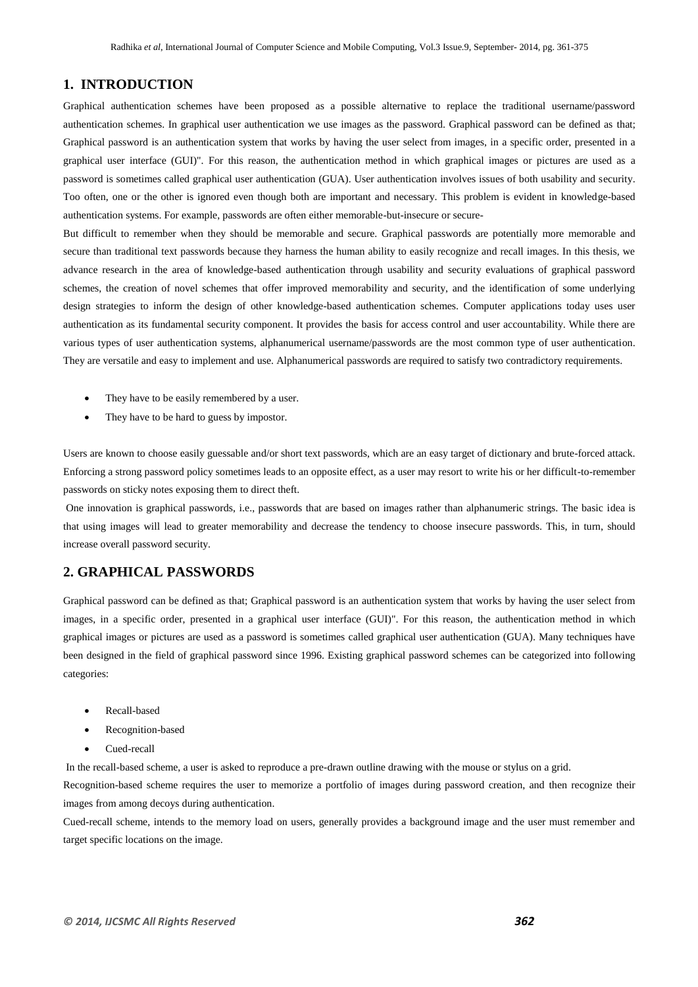## **1. INTRODUCTION**

Graphical authentication schemes have been proposed as a possible alternative to replace the traditional username/password authentication schemes. In graphical user authentication we use images as the password. Graphical password can be defined as that; Graphical password is an authentication system that works by having the user select from images, in a specific order, presented in a graphical user interface (GUI)". For this reason, the authentication method in which graphical images or pictures are used as a password is sometimes called graphical user authentication (GUA). User authentication involves issues of both usability and security. Too often, one or the other is ignored even though both are important and necessary. This problem is evident in knowledge-based authentication systems. For example, passwords are often either memorable-but-insecure or secure-

But difficult to remember when they should be memorable and secure. Graphical passwords are potentially more memorable and secure than traditional text passwords because they harness the human ability to easily recognize and recall images. In this thesis, we advance research in the area of knowledge-based authentication through usability and security evaluations of graphical password schemes, the creation of novel schemes that offer improved memorability and security, and the identification of some underlying design strategies to inform the design of other knowledge-based authentication schemes. Computer applications today uses user authentication as its fundamental security component. It provides the basis for access control and user accountability. While there are various types of user authentication systems, alphanumerical username/passwords are the most common type of user authentication. They are versatile and easy to implement and use. Alphanumerical passwords are required to satisfy two contradictory requirements.

- They have to be easily remembered by a user.
- They have to be hard to guess by impostor.

Users are known to choose easily guessable and/or short text passwords, which are an easy target of dictionary and brute-forced attack. Enforcing a strong password policy sometimes leads to an opposite effect, as a user may resort to write his or her difficult-to-remember passwords on sticky notes exposing them to direct theft.

One innovation is graphical passwords, i.e., passwords that are based on images rather than alphanumeric strings. The basic idea is that using images will lead to greater memorability and decrease the tendency to choose insecure passwords. This, in turn, should increase overall password security.

# **2. GRAPHICAL PASSWORDS**

Graphical password can be defined as that; Graphical password is an authentication system that works by having the user select from images, in a specific order, presented in a graphical user interface (GUI)". For this reason, the authentication method in which graphical images or pictures are used as a password is sometimes called graphical user authentication (GUA). Many techniques have been designed in the field of graphical password since 1996. Existing graphical password schemes can be categorized into following categories:

- Recall-based
- Recognition-based
- Cued-recall

In the recall-based scheme, a user is asked to reproduce a pre-drawn outline drawing with the mouse or stylus on a grid.

Recognition-based scheme requires the user to memorize a portfolio of images during password creation, and then recognize their images from among decoys during authentication.

Cued-recall scheme, intends to the memory load on users, generally provides a background image and the user must remember and target specific locations on the image.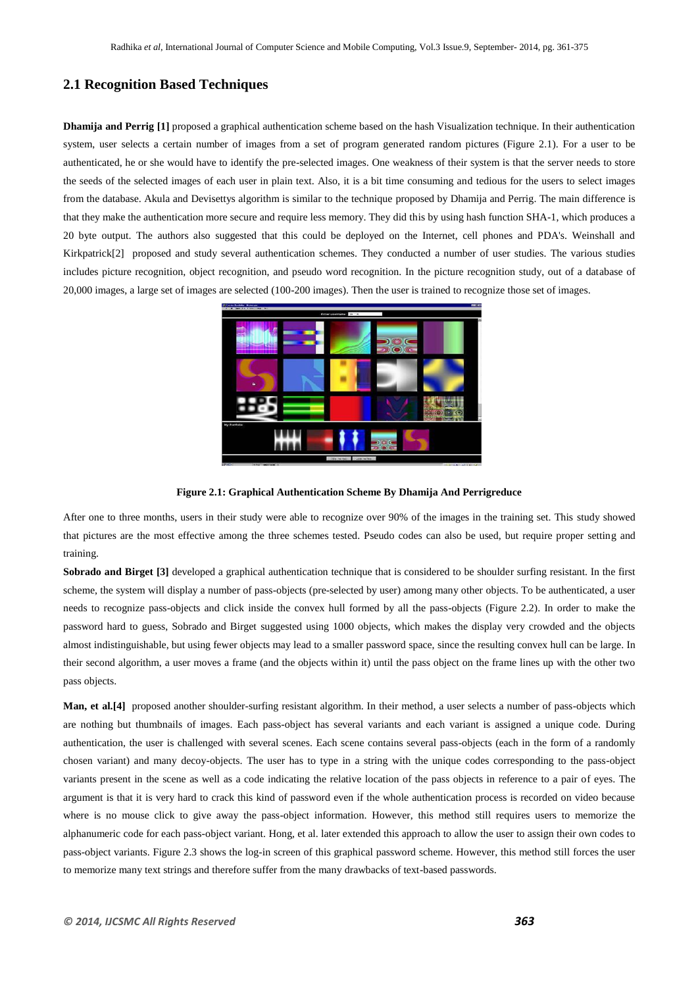## **2.1 Recognition Based Techniques**

**Dhamija and Perrig [1]** proposed a graphical authentication scheme based on the hash Visualization technique. In their authentication system, user selects a certain number of images from a set of program generated random pictures (Figure 2.1). For a user to be authenticated, he or she would have to identify the pre-selected images. One weakness of their system is that the server needs to store the seeds of the selected images of each user in plain text. Also, it is a bit time consuming and tedious for the users to select images from the database. Akula and Devisettys algorithm is similar to the technique proposed by Dhamija and Perrig. The main difference is that they make the authentication more secure and require less memory. They did this by using hash function SHA-1, which produces a 20 byte output. The authors also suggested that this could be deployed on the Internet, cell phones and PDA's. Weinshall and Kirkpatrick<sup>[2]</sup> proposed and study several authentication schemes. They conducted a number of user studies. The various studies includes picture recognition, object recognition, and pseudo word recognition. In the picture recognition study, out of a database of 20,000 images, a large set of images are selected (100-200 images). Then the user is trained to recognize those set of images.



**Figure 2.1: Graphical Authentication Scheme By Dhamija And Perrigreduce**

After one to three months, users in their study were able to recognize over 90% of the images in the training set. This study showed that pictures are the most effective among the three schemes tested. Pseudo codes can also be used, but require proper setting and training.

**Sobrado and Birget [3]** developed a graphical authentication technique that is considered to be shoulder surfing resistant. In the first scheme, the system will display a number of pass-objects (pre-selected by user) among many other objects. To be authenticated, a user needs to recognize pass-objects and click inside the convex hull formed by all the pass-objects (Figure 2.2). In order to make the password hard to guess, Sobrado and Birget suggested using 1000 objects, which makes the display very crowded and the objects almost indistinguishable, but using fewer objects may lead to a smaller password space, since the resulting convex hull can be large. In their second algorithm, a user moves a frame (and the objects within it) until the pass object on the frame lines up with the other two pass objects.

**Man, et al.[4]** proposed another shoulder-surfing resistant algorithm. In their method, a user selects a number of pass-objects which are nothing but thumbnails of images. Each pass-object has several variants and each variant is assigned a unique code. During authentication, the user is challenged with several scenes. Each scene contains several pass-objects (each in the form of a randomly chosen variant) and many decoy-objects. The user has to type in a string with the unique codes corresponding to the pass-object variants present in the scene as well as a code indicating the relative location of the pass objects in reference to a pair of eyes. The argument is that it is very hard to crack this kind of password even if the whole authentication process is recorded on video because where is no mouse click to give away the pass-object information. However, this method still requires users to memorize the alphanumeric code for each pass-object variant. Hong, et al. later extended this approach to allow the user to assign their own codes to pass-object variants. Figure 2.3 shows the log-in screen of this graphical password scheme. However, this method still forces the user to memorize many text strings and therefore suffer from the many drawbacks of text-based passwords.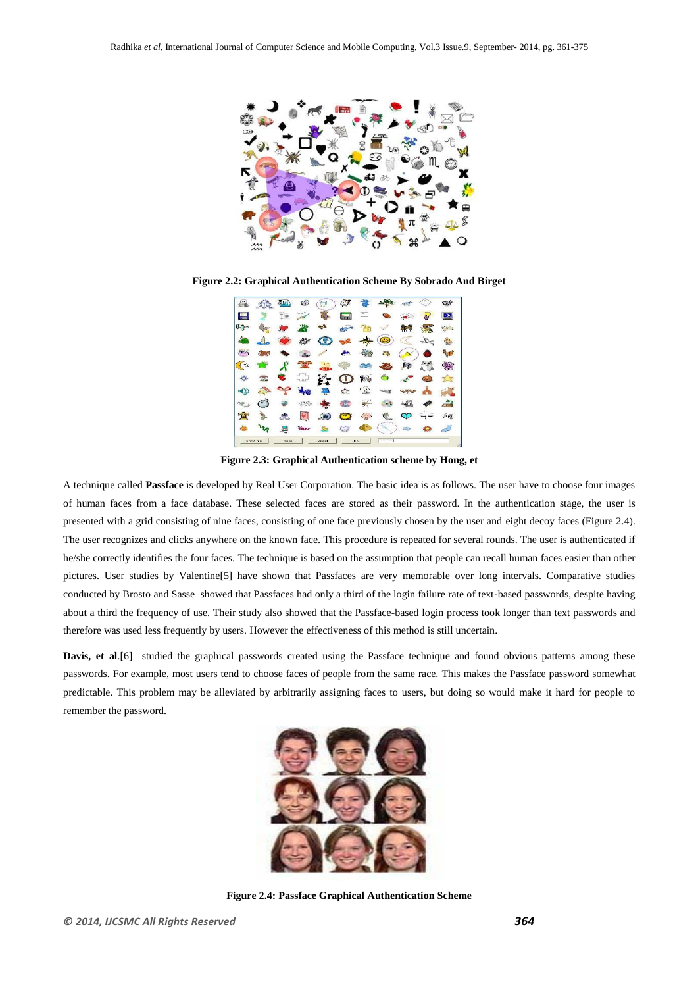

**Figure 2.2: Graphical Authentication Scheme By Sobrado And Birget**



**Figure 2.3: Graphical Authentication scheme by Hong, et**

A technique called **Passface** is developed by Real User Corporation. The basic idea is as follows. The user have to choose four images of human faces from a face database. These selected faces are stored as their password. In the authentication stage, the user is presented with a grid consisting of nine faces, consisting of one face previously chosen by the user and eight decoy faces (Figure 2.4). The user recognizes and clicks anywhere on the known face. This procedure is repeated for several rounds. The user is authenticated if he/she correctly identifies the four faces. The technique is based on the assumption that people can recall human faces easier than other pictures. User studies by Valentine[5] have shown that Passfaces are very memorable over long intervals. Comparative studies conducted by Brosto and Sasse showed that Passfaces had only a third of the login failure rate of text-based passwords, despite having about a third the frequency of use. Their study also showed that the Passface-based login process took longer than text passwords and therefore was used less frequently by users. However the effectiveness of this method is still uncertain.

**Davis, et al.**[6] studied the graphical passwords created using the Passface technique and found obvious patterns among these passwords. For example, most users tend to choose faces of people from the same race. This makes the Passface password somewhat predictable. This problem may be alleviated by arbitrarily assigning faces to users, but doing so would make it hard for people to remember the password.



**Figure 2.4: Passface Graphical Authentication Scheme**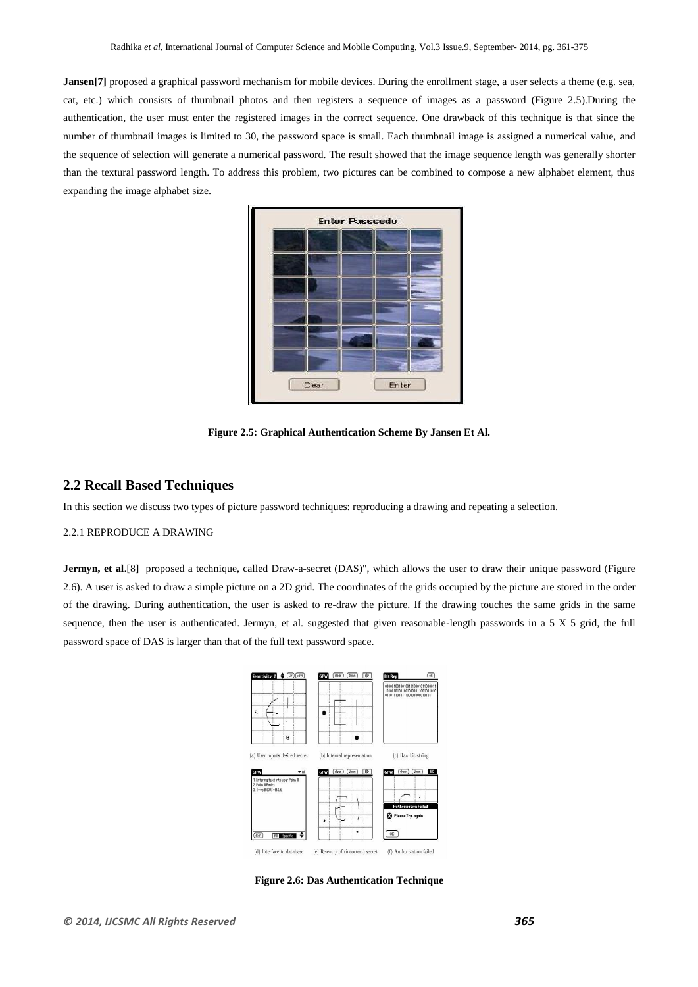**Jansen**[7] proposed a graphical password mechanism for mobile devices. During the enrollment stage, a user selects a theme (e.g. sea, cat, etc.) which consists of thumbnail photos and then registers a sequence of images as a password (Figure 2.5).During the authentication, the user must enter the registered images in the correct sequence. One drawback of this technique is that since the number of thumbnail images is limited to 30, the password space is small. Each thumbnail image is assigned a numerical value, and the sequence of selection will generate a numerical password. The result showed that the image sequence length was generally shorter than the textural password length. To address this problem, two pictures can be combined to compose a new alphabet element, thus expanding the image alphabet size.



**Figure 2.5: Graphical Authentication Scheme By Jansen Et Al.**

## **2.2 Recall Based Techniques**

In this section we discuss two types of picture password techniques: reproducing a drawing and repeating a selection.

## 2.2.1 REPRODUCE A DRAWING

**Jermyn, et al**.[8] proposed a technique, called Draw-a-secret (DAS)", which allows the user to draw their unique password (Figure 2.6). A user is asked to draw a simple picture on a 2D grid. The coordinates of the grids occupied by the picture are stored in the order of the drawing. During authentication, the user is asked to re-draw the picture. If the drawing touches the same grids in the same sequence, then the user is authenticated. Jermyn, et al. suggested that given reasonable-length passwords in a 5 X 5 grid, the full password space of DAS is larger than that of the full text password space.



**Figure 2.6: Das Authentication Technique**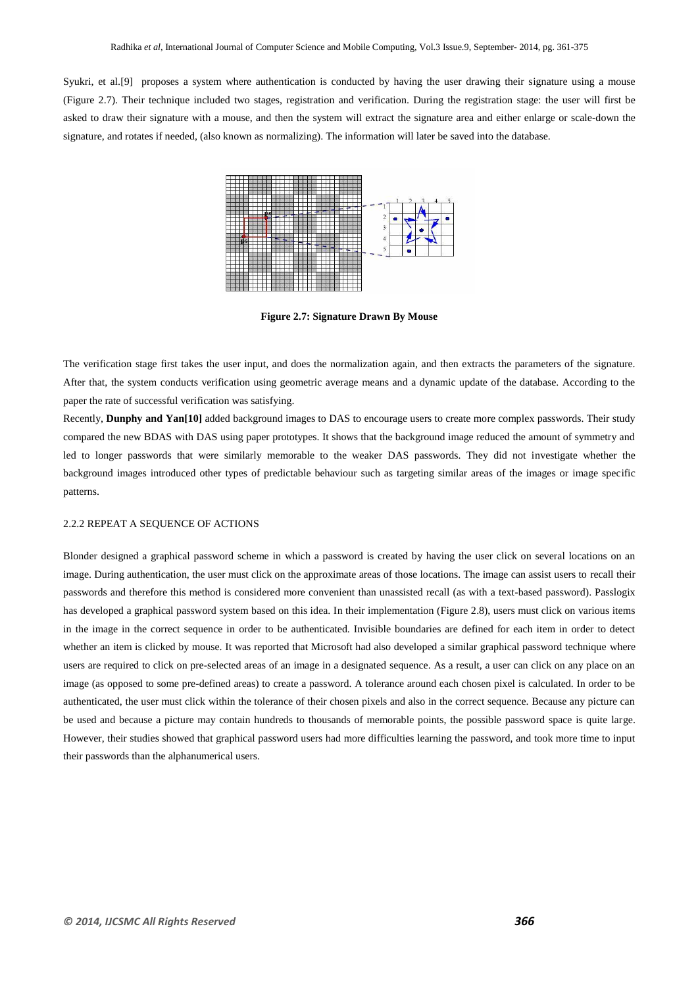Syukri, et al.[9] proposes a system where authentication is conducted by having the user drawing their signature using a mouse (Figure 2.7). Their technique included two stages, registration and verification. During the registration stage: the user will first be asked to draw their signature with a mouse, and then the system will extract the signature area and either enlarge or scale-down the signature, and rotates if needed, (also known as normalizing). The information will later be saved into the database.



**Figure 2.7: Signature Drawn By Mouse**

The verification stage first takes the user input, and does the normalization again, and then extracts the parameters of the signature. After that, the system conducts verification using geometric average means and a dynamic update of the database. According to the paper the rate of successful verification was satisfying.

Recently, **Dunphy and Yan[10]** added background images to DAS to encourage users to create more complex passwords. Their study compared the new BDAS with DAS using paper prototypes. It shows that the background image reduced the amount of symmetry and led to longer passwords that were similarly memorable to the weaker DAS passwords. They did not investigate whether the background images introduced other types of predictable behaviour such as targeting similar areas of the images or image specific patterns.

#### 2.2.2 REPEAT A SEQUENCE OF ACTIONS

Blonder designed a graphical password scheme in which a password is created by having the user click on several locations on an image. During authentication, the user must click on the approximate areas of those locations. The image can assist users to recall their passwords and therefore this method is considered more convenient than unassisted recall (as with a text-based password). Passlogix has developed a graphical password system based on this idea. In their implementation (Figure 2.8), users must click on various items in the image in the correct sequence in order to be authenticated. Invisible boundaries are defined for each item in order to detect whether an item is clicked by mouse. It was reported that Microsoft had also developed a similar graphical password technique where users are required to click on pre-selected areas of an image in a designated sequence. As a result, a user can click on any place on an image (as opposed to some pre-defined areas) to create a password. A tolerance around each chosen pixel is calculated. In order to be authenticated, the user must click within the tolerance of their chosen pixels and also in the correct sequence. Because any picture can be used and because a picture may contain hundreds to thousands of memorable points, the possible password space is quite large. However, their studies showed that graphical password users had more difficulties learning the password, and took more time to input their passwords than the alphanumerical users.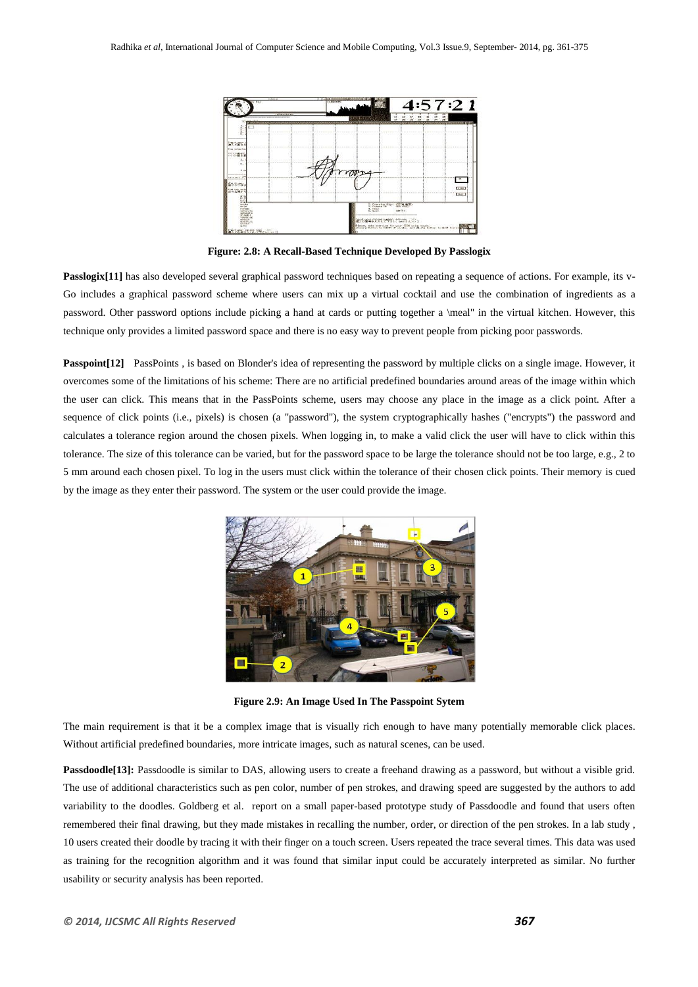

**Figure: 2.8: A Recall-Based Technique Developed By Passlogix**

Passlogix<sup>[11]</sup> has also developed several graphical password techniques based on repeating a sequence of actions. For example, its v-Go includes a graphical password scheme where users can mix up a virtual cocktail and use the combination of ingredients as a password. Other password options include picking a hand at cards or putting together a \meal" in the virtual kitchen. However, this technique only provides a limited password space and there is no easy way to prevent people from picking poor passwords.

**Passpoint**[12] PassPoints, is based on Blonder's idea of representing the password by multiple clicks on a single image. However, it overcomes some of the limitations of his scheme: There are no artificial predefined boundaries around areas of the image within which the user can click. This means that in the PassPoints scheme, users may choose any place in the image as a click point. After a sequence of click points (i.e., pixels) is chosen (a "password"), the system cryptographically hashes ("encrypts") the password and calculates a tolerance region around the chosen pixels. When logging in, to make a valid click the user will have to click within this tolerance. The size of this tolerance can be varied, but for the password space to be large the tolerance should not be too large, e.g., 2 to 5 mm around each chosen pixel. To log in the users must click within the tolerance of their chosen click points. Their memory is cued by the image as they enter their password. The system or the user could provide the image.



**Figure 2.9: An Image Used In The Passpoint Sytem**

The main requirement is that it be a complex image that is visually rich enough to have many potentially memorable click places. Without artificial predefined boundaries, more intricate images, such as natural scenes, can be used.

**Passdoodle[13]:** Passdoodle is similar to DAS, allowing users to create a freehand drawing as a password, but without a visible grid. The use of additional characteristics such as pen color, number of pen strokes, and drawing speed are suggested by the authors to add variability to the doodles. Goldberg et al. report on a small paper-based prototype study of Passdoodle and found that users often remembered their final drawing, but they made mistakes in recalling the number, order, or direction of the pen strokes. In a lab study , 10 users created their doodle by tracing it with their finger on a touch screen. Users repeated the trace several times. This data was used as training for the recognition algorithm and it was found that similar input could be accurately interpreted as similar. No further usability or security analysis has been reported.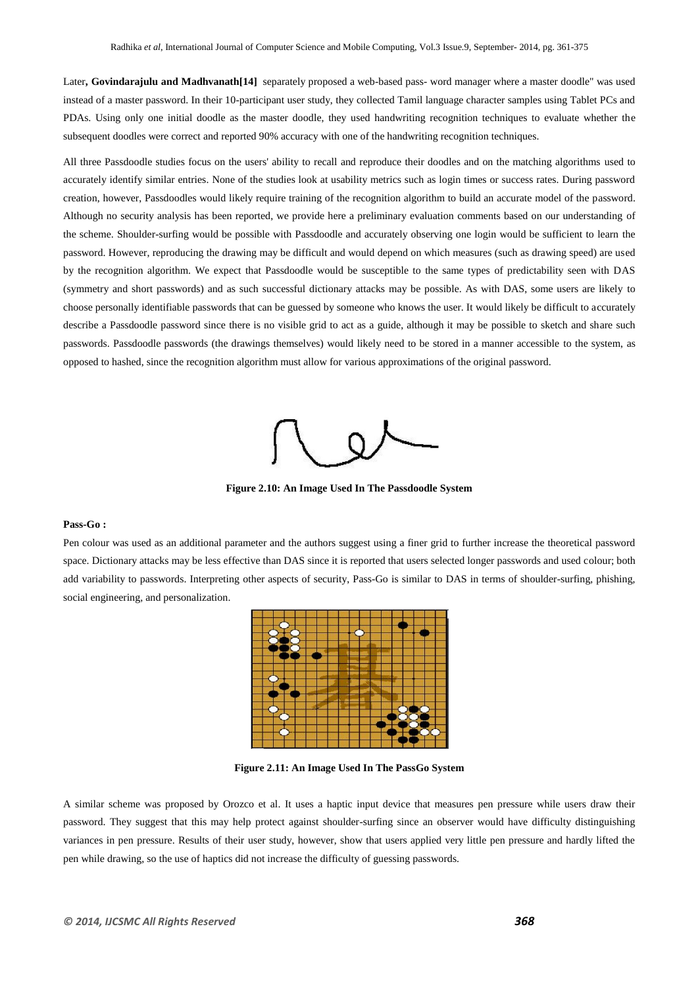Later**, Govindarajulu and Madhvanath[14]** separately proposed a web-based pass- word manager where a master doodle" was used instead of a master password. In their 10-participant user study, they collected Tamil language character samples using Tablet PCs and PDAs. Using only one initial doodle as the master doodle, they used handwriting recognition techniques to evaluate whether the subsequent doodles were correct and reported 90% accuracy with one of the handwriting recognition techniques.

All three Passdoodle studies focus on the users' ability to recall and reproduce their doodles and on the matching algorithms used to accurately identify similar entries. None of the studies look at usability metrics such as login times or success rates. During password creation, however, Passdoodles would likely require training of the recognition algorithm to build an accurate model of the password. Although no security analysis has been reported, we provide here a preliminary evaluation comments based on our understanding of the scheme. Shoulder-surfing would be possible with Passdoodle and accurately observing one login would be sufficient to learn the password. However, reproducing the drawing may be difficult and would depend on which measures (such as drawing speed) are used by the recognition algorithm. We expect that Passdoodle would be susceptible to the same types of predictability seen with DAS (symmetry and short passwords) and as such successful dictionary attacks may be possible. As with DAS, some users are likely to choose personally identifiable passwords that can be guessed by someone who knows the user. It would likely be difficult to accurately describe a Passdoodle password since there is no visible grid to act as a guide, although it may be possible to sketch and share such passwords. Passdoodle passwords (the drawings themselves) would likely need to be stored in a manner accessible to the system, as opposed to hashed, since the recognition algorithm must allow for various approximations of the original password.



**Figure 2.10: An Image Used In The Passdoodle System**

#### **Pass-Go :**

Pen colour was used as an additional parameter and the authors suggest using a finer grid to further increase the theoretical password space. Dictionary attacks may be less effective than DAS since it is reported that users selected longer passwords and used colour; both add variability to passwords. Interpreting other aspects of security, Pass-Go is similar to DAS in terms of shoulder-surfing, phishing, social engineering, and personalization.



**Figure 2.11: An Image Used In The PassGo System**

A similar scheme was proposed by Orozco et al. It uses a haptic input device that measures pen pressure while users draw their password. They suggest that this may help protect against shoulder-surfing since an observer would have difficulty distinguishing variances in pen pressure. Results of their user study, however, show that users applied very little pen pressure and hardly lifted the pen while drawing, so the use of haptics did not increase the difficulty of guessing passwords.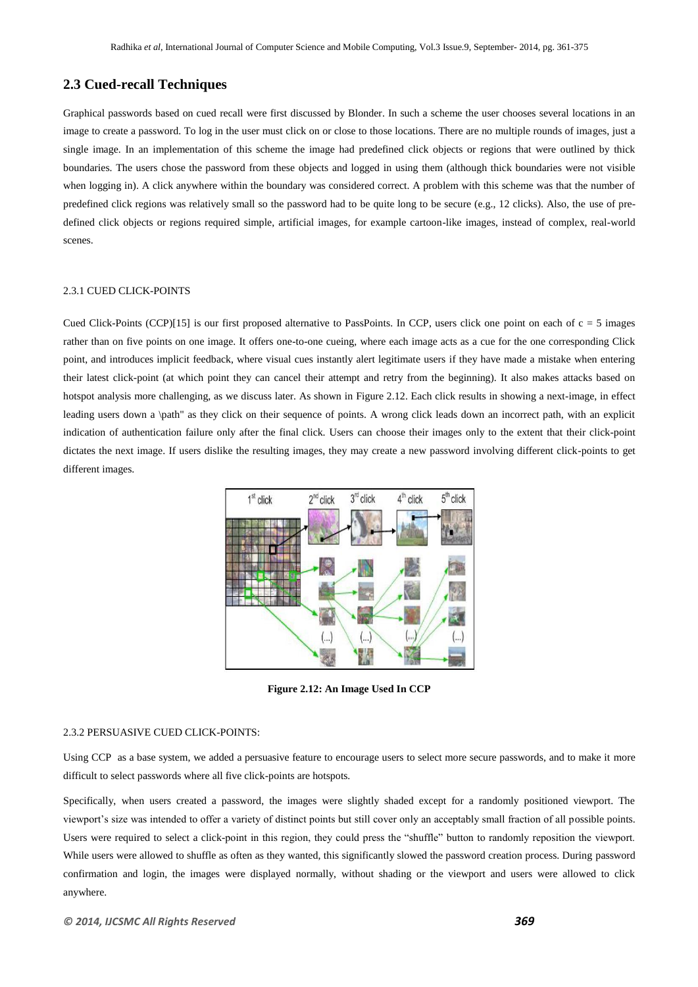# **2.3 Cued-recall Techniques**

Graphical passwords based on cued recall were first discussed by Blonder. In such a scheme the user chooses several locations in an image to create a password. To log in the user must click on or close to those locations. There are no multiple rounds of images, just a single image. In an implementation of this scheme the image had predefined click objects or regions that were outlined by thick boundaries. The users chose the password from these objects and logged in using them (although thick boundaries were not visible when logging in). A click anywhere within the boundary was considered correct. A problem with this scheme was that the number of predefined click regions was relatively small so the password had to be quite long to be secure (e.g., 12 clicks). Also, the use of predefined click objects or regions required simple, artificial images, for example cartoon-like images, instead of complex, real-world scenes.

## 2.3.1 CUED CLICK-POINTS

Cued Click-Points (CCP)[15] is our first proposed alternative to PassPoints. In CCP, users click one point on each of  $c = 5$  images rather than on five points on one image. It offers one-to-one cueing, where each image acts as a cue for the one corresponding Click point, and introduces implicit feedback, where visual cues instantly alert legitimate users if they have made a mistake when entering their latest click-point (at which point they can cancel their attempt and retry from the beginning). It also makes attacks based on hotspot analysis more challenging, as we discuss later. As shown in Figure 2.12. Each click results in showing a next-image, in effect leading users down a \path" as they click on their sequence of points. A wrong click leads down an incorrect path, with an explicit indication of authentication failure only after the final click. Users can choose their images only to the extent that their click-point dictates the next image. If users dislike the resulting images, they may create a new password involving different click-points to get different images.



**Figure 2.12: An Image Used In CCP**

#### 2.3.2 PERSUASIVE CUED CLICK-POINTS:

Using CCP as a base system, we added a persuasive feature to encourage users to select more secure passwords, and to make it more difficult to select passwords where all five click-points are hotspots.

Specifically, when users created a password, the images were slightly shaded except for a randomly positioned viewport. The viewport's size was intended to offer a variety of distinct points but still cover only an acceptably small fraction of all possible points. Users were required to select a click-point in this region, they could press the "shuffle" button to randomly reposition the viewport. While users were allowed to shuffle as often as they wanted, this significantly slowed the password creation process. During password confirmation and login, the images were displayed normally, without shading or the viewport and users were allowed to click anywhere.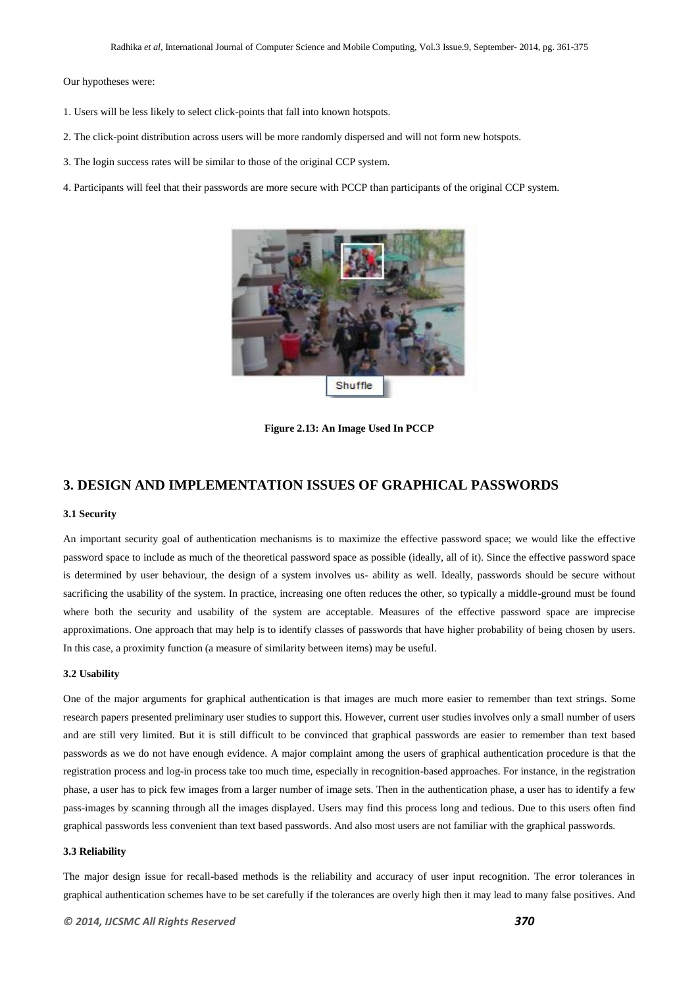Our hypotheses were:

- 1. Users will be less likely to select click-points that fall into known hotspots.
- 2. The click-point distribution across users will be more randomly dispersed and will not form new hotspots.
- 3. The login success rates will be similar to those of the original CCP system.
- 4. Participants will feel that their passwords are more secure with PCCP than participants of the original CCP system.



**Figure 2.13: An Image Used In PCCP**

# **3. DESIGN AND IMPLEMENTATION ISSUES OF GRAPHICAL PASSWORDS**

#### **3.1 Security**

An important security goal of authentication mechanisms is to maximize the effective password space; we would like the effective password space to include as much of the theoretical password space as possible (ideally, all of it). Since the effective password space is determined by user behaviour, the design of a system involves us- ability as well. Ideally, passwords should be secure without sacrificing the usability of the system. In practice, increasing one often reduces the other, so typically a middle-ground must be found where both the security and usability of the system are acceptable. Measures of the effective password space are imprecise approximations. One approach that may help is to identify classes of passwords that have higher probability of being chosen by users. In this case, a proximity function (a measure of similarity between items) may be useful.

#### **3.2 Usability**

One of the major arguments for graphical authentication is that images are much more easier to remember than text strings. Some research papers presented preliminary user studies to support this. However, current user studies involves only a small number of users and are still very limited. But it is still difficult to be convinced that graphical passwords are easier to remember than text based passwords as we do not have enough evidence. A major complaint among the users of graphical authentication procedure is that the registration process and log-in process take too much time, especially in recognition-based approaches. For instance, in the registration phase, a user has to pick few images from a larger number of image sets. Then in the authentication phase, a user has to identify a few pass-images by scanning through all the images displayed. Users may find this process long and tedious. Due to this users often find graphical passwords less convenient than text based passwords. And also most users are not familiar with the graphical passwords.

#### **3.3 Reliability**

The major design issue for recall-based methods is the reliability and accuracy of user input recognition. The error tolerances in graphical authentication schemes have to be set carefully if the tolerances are overly high then it may lead to many false positives. And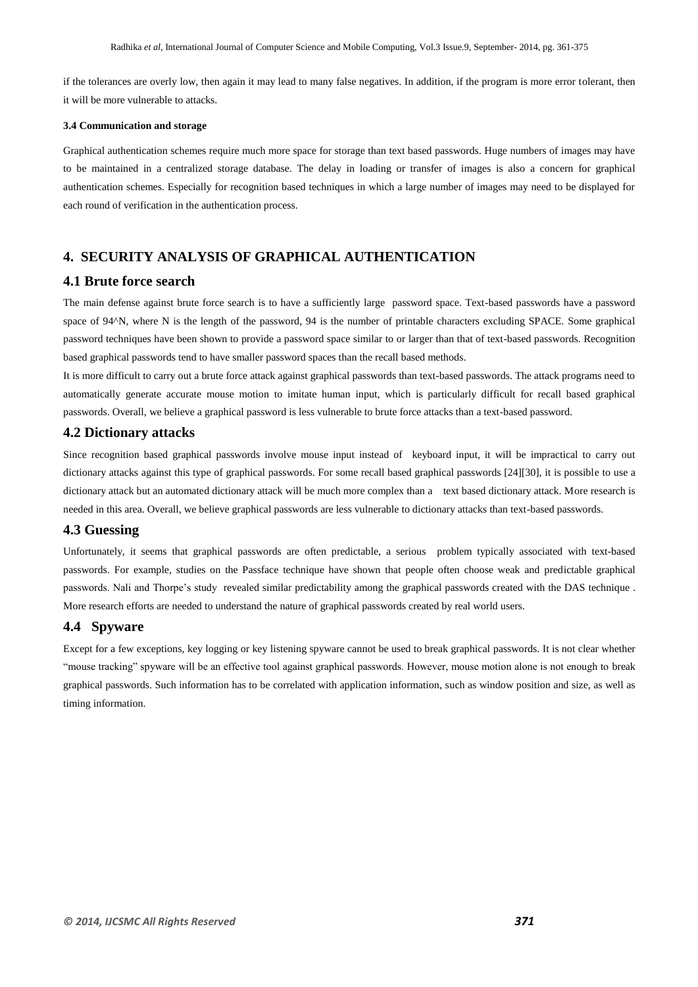if the tolerances are overly low, then again it may lead to many false negatives. In addition, if the program is more error tolerant, then it will be more vulnerable to attacks.

#### **3.4 Communication and storage**

Graphical authentication schemes require much more space for storage than text based passwords. Huge numbers of images may have to be maintained in a centralized storage database. The delay in loading or transfer of images is also a concern for graphical authentication schemes. Especially for recognition based techniques in which a large number of images may need to be displayed for each round of verification in the authentication process.

# **4. SECURITY ANALYSIS OF GRAPHICAL AUTHENTICATION**

#### **4.1 Brute force search**

The main defense against brute force search is to have a sufficiently large password space. Text-based passwords have a password space of 94<sup></sup>N, where N is the length of the password, 94 is the number of printable characters excluding SPACE. Some graphical password techniques have been shown to provide a password space similar to or larger than that of text-based passwords. Recognition based graphical passwords tend to have smaller password spaces than the recall based methods.

It is more difficult to carry out a brute force attack against graphical passwords than text-based passwords. The attack programs need to automatically generate accurate mouse motion to imitate human input, which is particularly difficult for recall based graphical passwords. Overall, we believe a graphical password is less vulnerable to brute force attacks than a text-based password.

# **4.2 Dictionary attacks**

Since recognition based graphical passwords involve mouse input instead of keyboard input, it will be impractical to carry out dictionary attacks against this type of graphical passwords. For some recall based graphical passwords [24][30], it is possible to use a dictionary attack but an automated dictionary attack will be much more complex than a text based dictionary attack. More research is needed in this area. Overall, we believe graphical passwords are less vulnerable to dictionary attacks than text-based passwords.

### **4.3 Guessing**

Unfortunately, it seems that graphical passwords are often predictable, a serious problem typically associated with text-based passwords. For example, studies on the Passface technique have shown that people often choose weak and predictable graphical passwords. Nali and Thorpe's study revealed similar predictability among the graphical passwords created with the DAS technique . More research efforts are needed to understand the nature of graphical passwords created by real world users.

#### **4.4 Spyware**

Except for a few exceptions, key logging or key listening spyware cannot be used to break graphical passwords. It is not clear whether "mouse tracking" spyware will be an effective tool against graphical passwords. However, mouse motion alone is not enough to break graphical passwords. Such information has to be correlated with application information, such as window position and size, as well as timing information.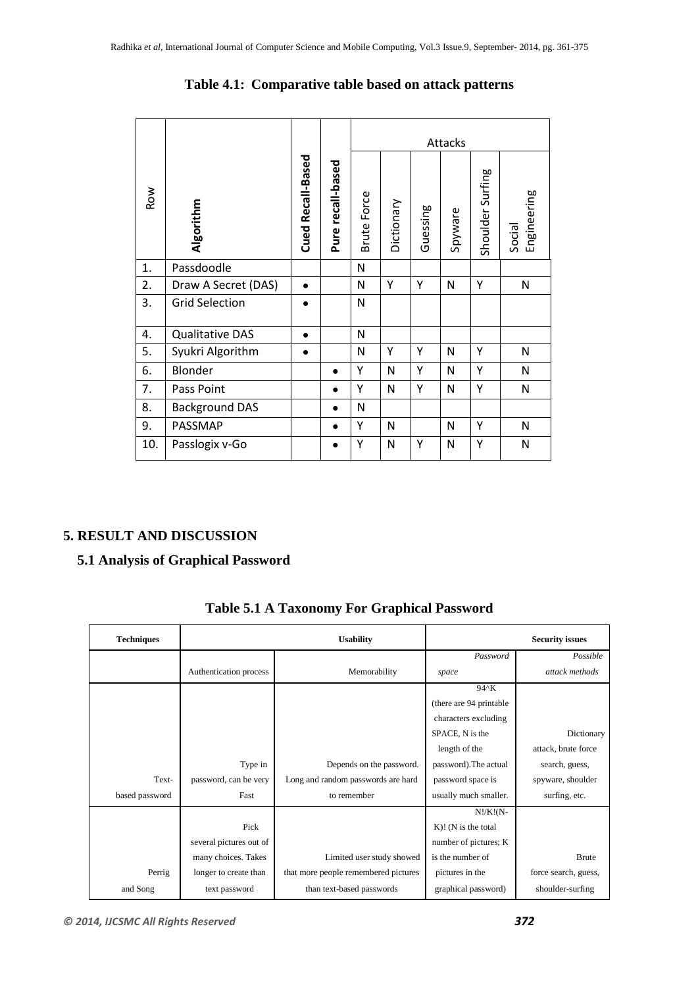|            |                        |                   |                   | Attacks            |            |          |         |                  |                       |
|------------|------------------------|-------------------|-------------------|--------------------|------------|----------|---------|------------------|-----------------------|
| <b>ROW</b> | Algorithm              | Cued Recall-Based | Pure recall-based | <b>Brute Force</b> | Dictionary | Guessing | Spyware | Shoulder Surfing | Engineering<br>Social |
| 1.         | Passdoodle             |                   |                   | N                  |            |          |         |                  |                       |
| 2.         | Draw A Secret (DAS)    | $\bullet$         |                   | N                  | Y          | Υ        | N       | Y                | N                     |
| 3.         | <b>Grid Selection</b>  | $\bullet$         |                   | N                  |            |          |         |                  |                       |
| 4.         | <b>Qualitative DAS</b> | $\bullet$         |                   | N                  |            |          |         |                  |                       |
| 5.         | Syukri Algorithm       |                   |                   | N                  | Υ          | Υ        | N       | Υ                | N                     |
| 6.         | Blonder                |                   |                   | Y                  | N          | Υ        | N       | Υ                | N                     |
| 7.         | Pass Point             |                   |                   | Y                  | N          | Υ        | N       | Y                | N                     |
| 8.         | <b>Background DAS</b>  |                   | $\bullet$         | N                  |            |          |         |                  |                       |
| 9.         | PASSMAP                |                   | $\bullet$         | Y                  | N          |          | N       | Υ                | N                     |
| 10.        | Passlogix v-Go         |                   | $\bullet$         | Υ                  | N          | Υ        | N       | Υ                | N                     |

# **Table 4.1: Comparative table based on attack patterns**

# **5. RESULT AND DISCUSSION**

# **5.1 Analysis of Graphical Password**

| <b>Techniques</b> |                         | <b>Usability</b>                     |                         | <b>Security issues</b> |
|-------------------|-------------------------|--------------------------------------|-------------------------|------------------------|
|                   |                         |                                      | Password                | Possible               |
|                   | Authentication process  | Memorability                         | space                   | attack methods         |
|                   |                         |                                      | 94^K                    |                        |
|                   |                         |                                      | (there are 94 printable |                        |
|                   |                         |                                      | characters excluding    |                        |
|                   |                         |                                      | SPACE, N is the         | Dictionary             |
|                   |                         |                                      | length of the           | attack, brute force    |
|                   | Type in                 | Depends on the password.             | password). The actual   | search, guess,         |
| Text-             | password, can be very   | Long and random passwords are hard   | password space is       | spyware, shoulder      |
| based password    | Fast                    | to remember                          | usually much smaller.   | surfing, etc.          |
|                   |                         |                                      | $N!/K!(N-$              |                        |
|                   | Pick                    |                                      | $K$ ! (N is the total   |                        |
|                   | several pictures out of |                                      | number of pictures; K   |                        |
|                   | many choices. Takes     | Limited user study showed            | is the number of        | <b>Brute</b>           |
| Perrig            | longer to create than   | that more people remembered pictures | pictures in the         | force search, guess,   |
| and Song          | text password           | than text-based passwords            | graphical password)     | shoulder-surfing       |

**Table 5.1 A Taxonomy For Graphical Password**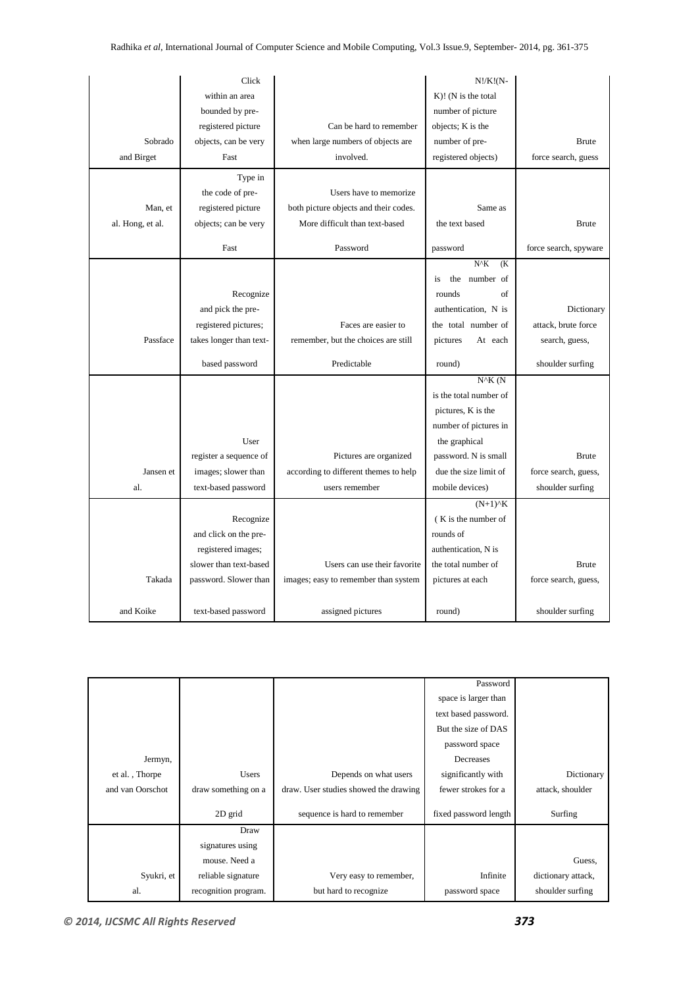|                  | Click                   |                                       | $N!/K!(N-$                               |                       |
|------------------|-------------------------|---------------------------------------|------------------------------------------|-----------------------|
|                  | within an area          |                                       | $K$ )! (N is the total                   |                       |
|                  | bounded by pre-         |                                       | number of picture                        |                       |
|                  | registered picture      | Can be hard to remember               | objects; K is the                        |                       |
| Sobrado          | objects, can be very    | when large numbers of objects are     | number of pre-                           | <b>Brute</b>          |
| and Birget       | Fast                    | involved.                             | registered objects)                      | force search, guess   |
|                  | Type in                 |                                       |                                          |                       |
|                  | the code of pre-        | Users have to memorize                |                                          |                       |
| Man, et          | registered picture      | both picture objects and their codes. | Same as                                  |                       |
|                  |                         |                                       |                                          | <b>Brute</b>          |
| al. Hong, et al. | objects; can be very    | More difficult than text-based        | the text based                           |                       |
|                  | Fast                    | Password                              | password                                 | force search, spyware |
|                  |                         |                                       | $N^{\wedge}K$<br>(K <sup>2</sup> )       |                       |
|                  |                         |                                       | number of<br>the<br>is                   |                       |
|                  | Recognize               |                                       | rounds<br>of                             |                       |
|                  | and pick the pre-       |                                       | authentication, N is                     | Dictionary            |
|                  | registered pictures;    | Faces are easier to                   | the total number of                      | attack, brute force   |
| Passface         | takes longer than text- | remember, but the choices are still   | pictures<br>At each                      | search, guess,        |
|                  | based password          | Predictable                           | round)                                   | shoulder surfing      |
|                  |                         |                                       | $N^{\wedge}K$ (N                         |                       |
|                  |                         |                                       | is the total number of                   |                       |
|                  |                         |                                       |                                          |                       |
|                  |                         |                                       | pictures, K is the                       |                       |
|                  |                         |                                       | number of pictures in                    |                       |
|                  | User                    |                                       | the graphical                            |                       |
|                  | register a sequence of  | Pictures are organized                | password. N is small                     | <b>Brute</b>          |
| Jansen et        | images; slower than     | according to different themes to help | due the size limit of                    | force search, guess,  |
| al.              | text-based password     | users remember                        | mobile devices)                          | shoulder surfing      |
|                  |                         |                                       | $(N+1)$ <sup><math>\wedge</math></sup> K |                       |
|                  | Recognize               |                                       | (K is the number of                      |                       |
|                  | and click on the pre-   |                                       | rounds of                                |                       |
|                  | registered images;      |                                       | authentication, N is                     |                       |
|                  | slower than text-based  | Users can use their favorite          | the total number of                      | <b>Brute</b>          |
| Takada           | password. Slower than   | images; easy to remember than system  | pictures at each                         | force search, guess,  |
|                  |                         |                                       |                                          |                       |
| and Koike        | text-based password     | assigned pictures                     | round)                                   | shoulder surfing      |

|                  |                      |                                       | Password              |                    |
|------------------|----------------------|---------------------------------------|-----------------------|--------------------|
|                  |                      |                                       | space is larger than  |                    |
|                  |                      |                                       | text based password.  |                    |
|                  |                      |                                       | But the size of DAS   |                    |
|                  |                      |                                       | password space        |                    |
| Jermyn,          |                      |                                       | Decreases             |                    |
| et al., Thorpe   | <b>Users</b>         | Depends on what users                 | significantly with    | Dictionary         |
| and van Oorschot | draw something on a  | draw. User studies showed the drawing | fewer strokes for a   | attack, shoulder   |
|                  | 2D grid              | sequence is hard to remember          | fixed password length | Surfing            |
|                  | Draw                 |                                       |                       |                    |
|                  | signatures using     |                                       |                       |                    |
|                  | mouse. Need a        |                                       |                       | Guess,             |
| Syukri, et       | reliable signature   | Very easy to remember,                | Infinite              | dictionary attack, |
| al.              | recognition program. | but hard to recognize                 | password space        | shoulder surfing   |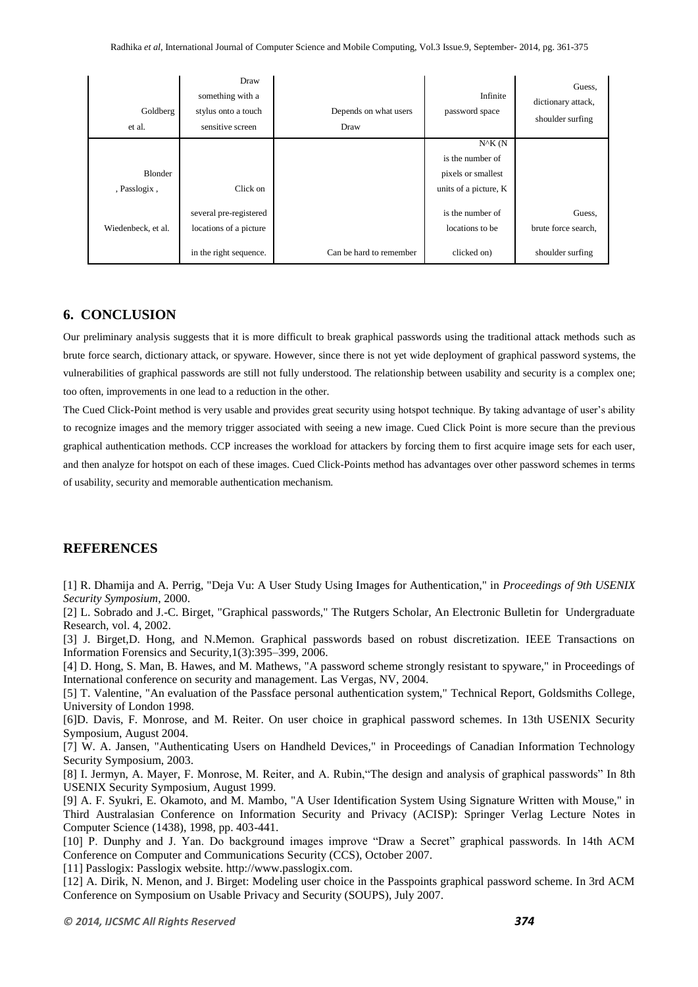| Goldberg<br>et al.             | Draw<br>something with a<br>stylus onto a touch<br>sensitive screen        | Depends on what users<br>Draw | Infinite<br>password space                                                          | Guess,<br>dictionary attack,<br>shoulder surfing  |
|--------------------------------|----------------------------------------------------------------------------|-------------------------------|-------------------------------------------------------------------------------------|---------------------------------------------------|
| <b>Blonder</b><br>, Passlogix, | Click on                                                                   |                               | $N^{\wedge}K(N)$<br>is the number of<br>pixels or smallest<br>units of a picture, K |                                                   |
| Wiedenbeck, et al.             | several pre-registered<br>locations of a picture<br>in the right sequence. | Can be hard to remember       | is the number of<br>locations to be<br>clicked on)                                  | Guess,<br>brute force search,<br>shoulder surfing |

# **6. CONCLUSION**

Our preliminary analysis suggests that it is more difficult to break graphical passwords using the traditional attack methods such as brute force search, dictionary attack, or spyware. However, since there is not yet wide deployment of graphical password systems, the vulnerabilities of graphical passwords are still not fully understood. The relationship between usability and security is a complex one; too often, improvements in one lead to a reduction in the other.

The Cued Click-Point method is very usable and provides great security using hotspot technique. By taking advantage of user's ability to recognize images and the memory trigger associated with seeing a new image. Cued Click Point is more secure than the previous graphical authentication methods. CCP increases the workload for attackers by forcing them to first acquire image sets for each user, and then analyze for hotspot on each of these images. Cued Click-Points method has advantages over other password schemes in terms of usability, security and memorable authentication mechanism.

# **REFERENCES**

[1] R. Dhamija and A. Perrig, "Deja Vu: A User Study Using Images for Authentication," in *Proceedings of 9th USENIX Security Symposium*, 2000.

[2] L. Sobrado and J.-C. Birget, "Graphical passwords," The Rutgers Scholar, An Electronic Bulletin for Undergraduate Research, vol. 4, 2002.

[3] J. Birget,D. Hong, and N.Memon. Graphical passwords based on robust discretization. IEEE Transactions on Information Forensics and Security,1(3):395–399, 2006.

[4] D. Hong, S. Man, B. Hawes, and M. Mathews, "A password scheme strongly resistant to spyware," in Proceedings of International conference on security and management. Las Vergas, NV, 2004.

[5] T. Valentine, "An evaluation of the Passface personal authentication system," Technical Report, Goldsmiths College, University of London 1998.

[6]D. Davis, F. Monrose, and M. Reiter. On user choice in graphical password schemes. In 13th USENIX Security Symposium, August 2004.

[7] W. A. Jansen, "Authenticating Users on Handheld Devices," in Proceedings of Canadian Information Technology Security Symposium, 2003.

[8] I. Jermyn, A. Mayer, F. Monrose, M. Reiter, and A. Rubin,"The design and analysis of graphical passwords" In 8th USENIX Security Symposium, August 1999.

[9] A. F. Syukri, E. Okamoto, and M. Mambo, "A User Identification System Using Signature Written with Mouse," in Third Australasian Conference on Information Security and Privacy (ACISP): Springer Verlag Lecture Notes in Computer Science (1438), 1998, pp. 403-441.

[10] P. Dunphy and J. Yan. Do background images improve "Draw a Secret" graphical passwords. In 14th ACM Conference on Computer and Communications Security (CCS), October 2007.

[11] Passlogix: Passlogix website. http://www.passlogix.com.

[12] A. Dirik, N. Menon, and J. Birget: Modeling user choice in the Passpoints graphical password scheme. In 3rd ACM Conference on Symposium on Usable Privacy and Security (SOUPS), July 2007.